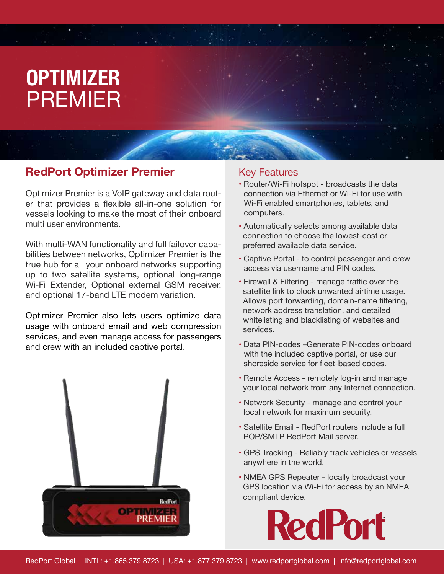# **OPTIMIZER**  PREMIER

### **RedPort Optimizer Premier**

Optimizer Premier is a VoIP gateway and data router that provides a flexible all-in-one solution for vessels looking to make the most of their onboard multi user environments.

With multi-WAN functionality and full failover capabilities between networks, Optimizer Premier is the true hub for all your onboard networks supporting up to two satellite systems, optional long-range Wi-Fi Extender, Optional external GSM receiver, and optional 17-band LTE modem variation.

Optimizer Premier also lets users optimize data usage with onboard email and web compression services, and even manage access for passengers and crew with an included captive portal.



#### Key Features

- Router/Wi-Fi hotspot broadcasts the data connection via Ethernet or Wi-Fi for use with Wi-Fi enabled smartphones, tablets, and computers.
- Automatically selects among available data connection to choose the lowest-cost or preferred available data service.
- Captive Portal to control passenger and crew access via username and PIN codes.
- Firewall & Filtering manage traffic over the satellite link to block unwanted airtime usage. Allows port forwarding, domain-name filtering, network address translation, and detailed whitelisting and blacklisting of websites and services.
- Data PIN-codes –Generate PIN-codes onboard with the included captive portal, or use our shoreside service for fleet-based codes.
- Remote Access remotely log-in and manage your local network from any Internet connection.
- Network Security manage and control your local network for maximum security.
- Satellite Email RedPort routers include a full POP/SMTP RedPort Mail server.
- GPS Tracking Reliably track vehicles or vessels anywhere in the world.
- NMEA GPS Repeater locally broadcast your GPS location via Wi-Fi for access by an NMEA compliant device.